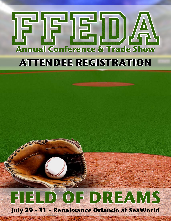# **Annual Conference & Trade Show ATTENDEE REGISTRATION**

# **FIELD OF DREAMS July 29 - 31 • Renaissance Orlando at SeaWorld**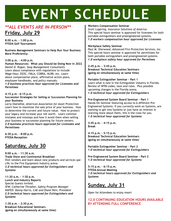## **EVENT SCHEDULE**

#### *\*\*ALL EVENTS ARE IN-PERSON\*\** **Friday, July 29**

**8:00 a.m. – 1:00 p.m. FFEDA Golf Tournament**

**Business Management Seminars to Help Run Your Business More Proficiently:**

#### **3:00 p.m. – 4:00 p.m.**

**Human Resources: What you Should be Doing Now in 2022** *Daniel D. Ragan, Seay Management Consultants* Learn about compliance with regulations to include Wage-Hour, EEOC, FMLA, COBRA, NLRB, etc. Learn about compensation plans, affirmative action plans, employee handbooks, and policy manuals.

*1.0 business practices hour approved for Licensees and Permitees*

#### **4:15 p.m – 6:15 p.m.**

#### **Succession Strategies for Selling or Succession Planning for your Business**

*Larry Oxendine, American Association for Asset Protection* Learn how to maximize the sale price of your business. How to determine the current and future value. How to protect your legacy and increase your net worth. Learn common mistakes and missteps and how ti avoid them when selling your business or succession planning for future owners. *2.0 business practices hours approved for Licensees and Permittees*

**6:30 p.m. – 8:00 p.m. FFEDA Reception**

#### **Saturday, July 30**

**9:00 a.m. – 11:30 a.m. Trade Show and Continental Breakfast**  Visit vendors and learn about new products and services specific to the Fire Equipment Industry arena. *3.0 technical hours approved for Extinguishers and Systems*

**11:30 a.m. – 1:30 p.m. Lunch and Industry Reports**  Special Guests Invited: *SFM: Catherine Thrasher, Safety Program Manager NAFED: Danny Harris, CAE and Diane Pein, President 2.0 technical hours approved for Extinguishers and Systems*

**1:30 p.m. – 2:30 p.m. Breakout Educational Seminars (going on simultaneously at same time)**

#### **Workers Compensation Seminar**

*Scott Lugering, Insurance Solutions of America* This special hours seminar is approved for licensees for both portable extinguishers and preengineered systems. *1.0 workers compensation hour approved for Licensees*

#### **Workplace Safety Seminar**

*Paul M. Sherwood, Advanced Fire Protection Services, Inc.* This special hours seminar is approved for permittees for both portable extinguishers and preengineered systems. *1.0 workplace safety hour approved for Permitees*

#### **2:45 p.m. – 3:45 p.m.**

**Breakout Technical Education Seminars (going on simultaneously at same time)**

#### **Portable Extinguisher Seminar - Part 1**

Learn what is new in the Extinguisher industry in Florida. Review of NFPA codes, laws and rules. Plus possible upcoming changes in the Florida arena. *1.0 technical hour approved for Extinguishers*

#### **Pre-Engineered System Board Seminar - Part 1**

Hands-On Seminar featuring access to 6 different Pre-Engineered Systems. If you currently work on Systems, are wanting to get into Systems or just have an interest in learning more about them, this is the class for you. *1.0 technical hour approved for Systems*

**3:45 p.m. – 4:15 p.m. Break**

**4:15 p.m. – 5:15 p.m. Breakout Technical Education Seminars (going on simultaneously at same time)**

**Portable Extinguisher Seminar - Part 2** *1.0 technical hour approved for Extinguishers*

**Pre-Engineered System Board Seminar - Part 2** *1.0 technical hour approved for Systems*

**5:15 p.m. – 6:15 p.m. FFEDA Annual Meeting**  *1.0 technical hours approved for Extinguishers and Systems*

#### **Sunday, July 31**

Open for Attendees to enjoy resort

#### **12.0 CONTINUING EDUCATION HOURS AVAILABLE BY ATTENDING FULL CONFERENCE**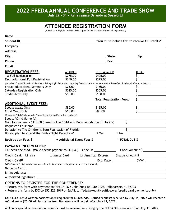**2022 FFEDA ANNUAL CONFERENCE AND TRADE SHOW**

**July 29 - 31 • Renaissance Orlando at SeaWorld**

#### **ATTENDEE REGISTRATION FORM**

(Please print legibly. Please make copies of this form for additional registrants.)

| Name<br><u> 1989 - Johann John Stone, markin fan it ferstjer fan de ferstjer fan it ferstjer fan it ferstjer fan it fers</u>                    |               |                                 |                                                                                                                                                                                                                                                           |  |
|-------------------------------------------------------------------------------------------------------------------------------------------------|---------------|---------------------------------|-----------------------------------------------------------------------------------------------------------------------------------------------------------------------------------------------------------------------------------------------------------|--|
|                                                                                                                                                 |               |                                 |                                                                                                                                                                                                                                                           |  |
|                                                                                                                                                 |               |                                 |                                                                                                                                                                                                                                                           |  |
|                                                                                                                                                 |               |                                 |                                                                                                                                                                                                                                                           |  |
|                                                                                                                                                 |               |                                 |                                                                                                                                                                                                                                                           |  |
|                                                                                                                                                 |               |                                 |                                                                                                                                                                                                                                                           |  |
| Email                                                                                                                                           |               |                                 |                                                                                                                                                                                                                                                           |  |
| <b>REGISTRATION FEES:</b>                                                                                                                       | <b>MEMBER</b> | NON-MEMBER                      | <b>TOTAL</b>                                                                                                                                                                                                                                              |  |
| 1st Full Registration                                                                                                                           | \$275.00      | \$405.00                        | <u> 1989 - Johann Barbara, martin a</u>                                                                                                                                                                                                                   |  |
| Each Additional Full Registration                                                                                                               | \$240.00      | \$375.00                        |                                                                                                                                                                                                                                                           |  |
| (Includes: Friday Educational Seminars, Friday Night Reception, Saturday Events: trade show, continental breakfast, lunch and afternoon break.) |               |                                 |                                                                                                                                                                                                                                                           |  |
| <b>Friday Educational Seminars Only</b>                                                                                                         | \$75.00       | \$150.00                        |                                                                                                                                                                                                                                                           |  |
| Saturday Registration Only                                                                                                                      | \$215.00      | \$355.00                        |                                                                                                                                                                                                                                                           |  |
| Trade Show Only                                                                                                                                 | \$50.00       | \$100.00                        | $\begin{tabular}{ c c c c } \hline \quad \quad & \quad \quad & \quad \quad \\ \hline \quad \quad & \quad \quad & \quad \quad \\ \hline \quad \quad & \quad \quad & \quad \quad \\ \hline \quad \quad & \quad \quad & \quad \quad \\ \hline \end{tabular}$ |  |
|                                                                                                                                                 |               | <b>Total Registration Fees:</b> | $\mathsf{S}$ , and the set of $\mathsf{S}$                                                                                                                                                                                                                |  |
| <b>ADDITIONAL EVENT FEES:</b>                                                                                                                   |               |                                 |                                                                                                                                                                                                                                                           |  |
| Spouse Meals Only                                                                                                                               | \$85.00       | \$125.00                        |                                                                                                                                                                                                                                                           |  |
| Child Meals Only                                                                                                                                | \$65.00       | \$85.00                         |                                                                                                                                                                                                                                                           |  |
| (Spouse & Child Meals include Friday Reception and Saturday Luncheon)                                                                           |               |                                 |                                                                                                                                                                                                                                                           |  |
|                                                                                                                                                 |               |                                 |                                                                                                                                                                                                                                                           |  |
| Golf Tournament - \$110.00 (Benefits The Children's Burn Foundation of Florida)                                                                 |               |                                 | $\frac{1}{2}$                                                                                                                                                                                                                                             |  |
| Requested Foursome                                                                                                                              |               |                                 | <u> 1989 - Johann Barn, fransk politik (f. 1989)</u>                                                                                                                                                                                                      |  |
| Donation to The Children's Burn Foundation of Florida                                                                                           |               |                                 | $\overline{\mathsf{s}}$                                                                                                                                                                                                                                   |  |
| Do you plan to attend the Friday Night Reception?                                                                                               |               | $\Box$ Yes<br>$\square$ No      |                                                                                                                                                                                                                                                           |  |
| Registration Fees \$ _______________ + Additional Event Fees \$ ____________ = TOTAL DUE \$ ___________                                         |               |                                 |                                                                                                                                                                                                                                                           |  |
| PAYMENT INFORMATION:                                                                                                                            |               |                                 |                                                                                                                                                                                                                                                           |  |
| □ Check enclosed. (Make checks payable to FFEDA.) Check # _____________________ Check Amount \$ _______________                                 |               |                                 |                                                                                                                                                                                                                                                           |  |
| Credit Card: $\Box$ Visa                                                                                                                        | □ MasterCard  |                                 | □ American Express Charge Amount \$                                                                                                                                                                                                                       |  |
| Credit Card $#$ $_{-}$                                                                                                                          |               |                                 | Exp. Date ______________________CVV#                                                                                                                                                                                                                      |  |
| (Vi/MC users: 3 digit number on back of card. Amex users: 4 digit number on front of card.)                                                     |               |                                 |                                                                                                                                                                                                                                                           |  |
|                                                                                                                                                 |               |                                 |                                                                                                                                                                                                                                                           |  |
|                                                                                                                                                 |               |                                 |                                                                                                                                                                                                                                                           |  |
|                                                                                                                                                 |               |                                 |                                                                                                                                                                                                                                                           |  |
|                                                                                                                                                 |               |                                 |                                                                                                                                                                                                                                                           |  |

#### **OPTIONS TO REGISTER FOR THE CONFERENCE:**

• Return this form with payment to: FFEDA, 325 John Knox Rd, Ste L103, Tallahassee, FL 32303

• Return this form by FAX to 850.222.3019 or EMAIL to ffeda@executiveoffice.org (credit card payments only)

**CANCELLATIONS: Written notification is required for all refunds. Refund requests received by July 11, 2022 will receive a refund less a \$25.00 administrative fee. No refunds will be paid after July 11, 2022.** 

**ADA: Any special accomodation requests must be received in writing by the FFEDA Office no later than July 11, 2022.**